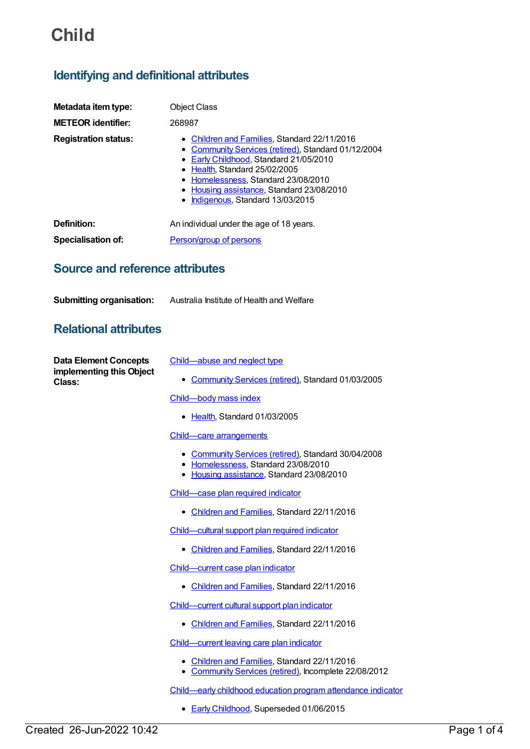# **Child**

## **Identifying and definitional attributes**

| Metadata item type:<br><b>METEOR identifier:</b> | <b>Object Class</b><br>268987                                                                                                                                                                                                                                                                           |
|--------------------------------------------------|---------------------------------------------------------------------------------------------------------------------------------------------------------------------------------------------------------------------------------------------------------------------------------------------------------|
| <b>Registration status:</b>                      | • Children and Families, Standard 22/11/2016<br>• Community Services (retired), Standard 01/12/2004<br>• Early Childhood, Standard 21/05/2010<br>• Health, Standard 25/02/2005<br>• Homelessness, Standard 23/08/2010<br>• Housing assistance, Standard 23/08/2010<br>• Indigenous, Standard 13/03/2015 |
| Definition:                                      | An individual under the age of 18 years.                                                                                                                                                                                                                                                                |
| <b>Specialisation of:</b>                        | Person/group of persons                                                                                                                                                                                                                                                                                 |

### **Source and reference attributes**

**Submitting organisation:** Australia Institute of Health and Welfare

## **Relational attributes**

**Data Element Concepts implementing this Object Class:**

- [Child—abuse](https://meteor.aihw.gov.au/content/269627) and neglect type
	- [Community](https://meteor.aihw.gov.au/RegistrationAuthority/1) Services (retired), Standard 01/03/2005

[Child—body](https://meteor.aihw.gov.au/content/269557) mass index

• [Health](https://meteor.aihw.gov.au/RegistrationAuthority/12), Standard 01/03/2005

#### Child—care [arrangements](https://meteor.aihw.gov.au/content/367636)

- [Community](https://meteor.aihw.gov.au/RegistrationAuthority/1) Services (retired), Standard 30/04/2008
- [Homelessness](https://meteor.aihw.gov.au/RegistrationAuthority/14), Standard 23/08/2010
- Housing [assistance](https://meteor.aihw.gov.au/RegistrationAuthority/11), Standard 23/08/2010

[Child—case](https://meteor.aihw.gov.au/content/610427) plan required indicator

[Children](https://meteor.aihw.gov.au/RegistrationAuthority/17) and Families, Standard 22/11/2016

[Child—cultural](https://meteor.aihw.gov.au/content/529653) support plan required indicator

• [Children](https://meteor.aihw.gov.au/RegistrationAuthority/17) and Families, Standard 22/11/2016

[Child—current](https://meteor.aihw.gov.au/content/610422) case plan indicator

• [Children](https://meteor.aihw.gov.au/RegistrationAuthority/17) and Families, Standard 22/11/2016

[Child—current](https://meteor.aihw.gov.au/content/529661) cultural support plan indicator

• [Children](https://meteor.aihw.gov.au/RegistrationAuthority/17) and Families, Standard 22/11/2016

[Child—current](https://meteor.aihw.gov.au/content/493098) leaving care plan indicator

- [Children](https://meteor.aihw.gov.au/RegistrationAuthority/17) and Families, Standard 22/11/2016
- [Community](https://meteor.aihw.gov.au/RegistrationAuthority/1) Services (retired), Incomplete 22/08/2012

[Child—early](https://meteor.aihw.gov.au/content/556994) childhood education program attendance indicator

● Early [Childhood](https://meteor.aihw.gov.au/RegistrationAuthority/13), Superseded 01/06/2015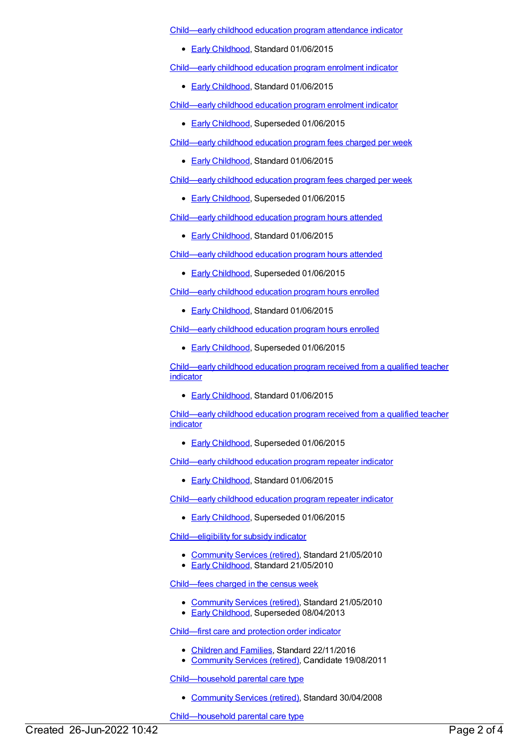[Child—early](https://meteor.aihw.gov.au/content/608290) childhood education program attendance indicator

● Early [Childhood](https://meteor.aihw.gov.au/RegistrationAuthority/13), Standard 01/06/2015

[Child—early](https://meteor.aihw.gov.au/content/608371) childhood education program enrolment indicator

**Early [Childhood](https://meteor.aihw.gov.au/RegistrationAuthority/13), Standard 01/06/2015** 

[Child—early](https://meteor.aihw.gov.au/content/557016) childhood education program enrolment indicator

- **Early [Childhood](https://meteor.aihw.gov.au/RegistrationAuthority/13), Superseded 01/06/2015**
- [Child—early](https://meteor.aihw.gov.au/content/608376) childhood education program fees charged per week
	- **Early [Childhood](https://meteor.aihw.gov.au/RegistrationAuthority/13), Standard 01/06/2015**

[Child—early](https://meteor.aihw.gov.au/content/557044) childhood education program fees charged per week

**Early [Childhood](https://meteor.aihw.gov.au/RegistrationAuthority/13), Superseded 01/06/2015** 

[Child—early](https://meteor.aihw.gov.au/content/608385) childhood education program hours attended

**Early [Childhood](https://meteor.aihw.gov.au/RegistrationAuthority/13), Standard 01/06/2015** 

[Child—early](https://meteor.aihw.gov.au/content/557058) childhood education program hours attended

**Early [Childhood](https://meteor.aihw.gov.au/RegistrationAuthority/13), Superseded 01/06/2015** 

[Child—early](https://meteor.aihw.gov.au/content/602314) childhood education program hours enrolled

**Early [Childhood](https://meteor.aihw.gov.au/RegistrationAuthority/13), Standard 01/06/2015** 

[Child—early](https://meteor.aihw.gov.au/content/557078) childhood education program hours enrolled

**Early [Childhood](https://meteor.aihw.gov.au/RegistrationAuthority/13), Superseded 01/06/2015** 

[Child—early](https://meteor.aihw.gov.au/content/608395) childhood education program received from a qualified teacher indicator

**Early [Childhood](https://meteor.aihw.gov.au/RegistrationAuthority/13), Standard 01/06/2015** 

[Child—early](https://meteor.aihw.gov.au/content/557126) childhood education program received from a qualified teacher indicator

**Early [Childhood](https://meteor.aihw.gov.au/RegistrationAuthority/13), Superseded 01/06/2015** 

[Child—early](https://meteor.aihw.gov.au/content/608407) childhood education program repeater indicator

• Early [Childhood](https://meteor.aihw.gov.au/RegistrationAuthority/13), Standard 01/06/2015

[Child—early](https://meteor.aihw.gov.au/content/557154) childhood education program repeater indicator

**Early [Childhood](https://meteor.aihw.gov.au/RegistrationAuthority/13), Superseded 01/06/2015** 

[Child—eligibility](https://meteor.aihw.gov.au/content/401338) for subsidy indicator

- [Community](https://meteor.aihw.gov.au/RegistrationAuthority/1) Services (retired), Standard 21/05/2010
- **Early [Childhood](https://meteor.aihw.gov.au/RegistrationAuthority/13), Standard 21/05/2010**

[Child—fees](https://meteor.aihw.gov.au/content/401473) charged in the census week

- [Community](https://meteor.aihw.gov.au/RegistrationAuthority/1) Services (retired), Standard 21/05/2010
- **Early [Childhood](https://meteor.aihw.gov.au/RegistrationAuthority/13), Superseded 08/04/2013**

[Child—first](https://meteor.aihw.gov.au/content/458340) care and protection order indicator

- [Children](https://meteor.aihw.gov.au/RegistrationAuthority/17) and Families, Standard 22/11/2016
- [Community](https://meteor.aihw.gov.au/RegistrationAuthority/1) Services (retired), Candidate 19/08/2011

[Child—household](https://meteor.aihw.gov.au/content/367613) parental care type

[Community](https://meteor.aihw.gov.au/RegistrationAuthority/1) Services (retired), Standard 30/04/2008

[Child—household](https://meteor.aihw.gov.au/content/559299) parental care type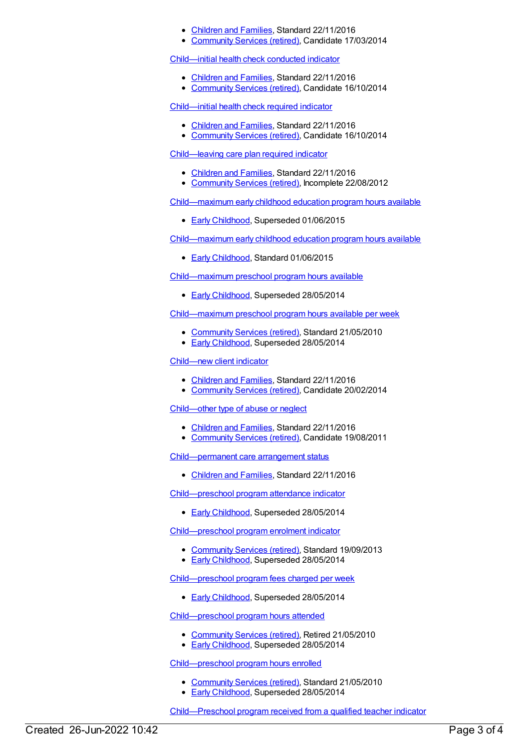- [Children](https://meteor.aihw.gov.au/RegistrationAuthority/17) and Families, Standard 22/11/2016
- [Community](https://meteor.aihw.gov.au/RegistrationAuthority/1) Services (retired), Candidate 17/03/2014

[Child—initial](https://meteor.aihw.gov.au/content/529679) health check conducted indicator

- [Children](https://meteor.aihw.gov.au/RegistrationAuthority/17) and Families, Standard 22/11/2016
- [Community](https://meteor.aihw.gov.au/RegistrationAuthority/1) Services (retired), Candidate 16/10/2014

[Child—initial](https://meteor.aihw.gov.au/content/529670) health check required indicator

- [Children](https://meteor.aihw.gov.au/RegistrationAuthority/17) and Families, Standard 22/11/2016
- [Community](https://meteor.aihw.gov.au/RegistrationAuthority/1) Services (retired), Candidate 16/10/2014

[Child—leaving](https://meteor.aihw.gov.au/content/493088) care plan required indicator

- [Children](https://meteor.aihw.gov.au/RegistrationAuthority/17) and Families, Standard 22/11/2016
- [Community](https://meteor.aihw.gov.au/RegistrationAuthority/1) Services (retired), Incomplete 22/08/2012

[Child—maximum](https://meteor.aihw.gov.au/content/556968) early childhood education program hours available

**Early [Childhood](https://meteor.aihw.gov.au/RegistrationAuthority/13), Superseded 01/06/2015** 

[Child—maximum](https://meteor.aihw.gov.au/content/608415) early childhood education program hours available

**Early [Childhood](https://meteor.aihw.gov.au/RegistrationAuthority/13), Standard 01/06/2015** 

[Child—maximum](https://meteor.aihw.gov.au/content/444507) preschool program hours available

**Early [Childhood](https://meteor.aihw.gov.au/RegistrationAuthority/13), Superseded 28/05/2014** 

[Child—maximum](https://meteor.aihw.gov.au/content/397149) preschool program hours available per week

- [Community](https://meteor.aihw.gov.au/RegistrationAuthority/1) Services (retired), Standard 21/05/2010
- **Early [Childhood](https://meteor.aihw.gov.au/RegistrationAuthority/13), Superseded 28/05/2014**

#### [Child—new](https://meteor.aihw.gov.au/content/531792) client indicator

- [Children](https://meteor.aihw.gov.au/RegistrationAuthority/17) and Families, Standard 22/11/2016
- [Community](https://meteor.aihw.gov.au/RegistrationAuthority/1) Services (retired), Candidate 20/02/2014

[Child—other](https://meteor.aihw.gov.au/content/455500) type of abuse or neglect

- [Children](https://meteor.aihw.gov.au/RegistrationAuthority/17) and Families, Standard 22/11/2016
- [Community](https://meteor.aihw.gov.au/RegistrationAuthority/1) Services (retired), Candidate 19/08/2011

[Child—permanent](https://meteor.aihw.gov.au/content/657339) care arrangement status

• [Children](https://meteor.aihw.gov.au/RegistrationAuthority/17) and Families, Standard 22/11/2016

[Child—preschool](https://meteor.aihw.gov.au/content/436117) program attendance indicator

**Early [Childhood](https://meteor.aihw.gov.au/RegistrationAuthority/13), Superseded 28/05/2014** 

[Child—preschool](https://meteor.aihw.gov.au/content/436124) program enrolment indicator

- [Community](https://meteor.aihw.gov.au/RegistrationAuthority/1) Services (retired), Standard 19/09/2013
- **Early [Childhood](https://meteor.aihw.gov.au/RegistrationAuthority/13), Superseded 28/05/2014**

[Child—preschool](https://meteor.aihw.gov.au/content/436110) program fees charged per week

**Early [Childhood](https://meteor.aihw.gov.au/RegistrationAuthority/13), Superseded 28/05/2014** 

[Child—preschool](https://meteor.aihw.gov.au/content/388615) program hours attended

- [Community](https://meteor.aihw.gov.au/RegistrationAuthority/1) Services (retired), Retired 21/05/2010
- **Early [Childhood](https://meteor.aihw.gov.au/RegistrationAuthority/13), Superseded 28/05/2014**

[Child—preschool](https://meteor.aihw.gov.au/content/388621) program hours enrolled

- [Community](https://meteor.aihw.gov.au/RegistrationAuthority/1) Services (retired), Standard 21/05/2010
- Early [Childhood](https://meteor.aihw.gov.au/RegistrationAuthority/13), Superseded 28/05/2014

[Child—Preschool](https://meteor.aihw.gov.au/content/436674) program received from a qualified teacher indicator